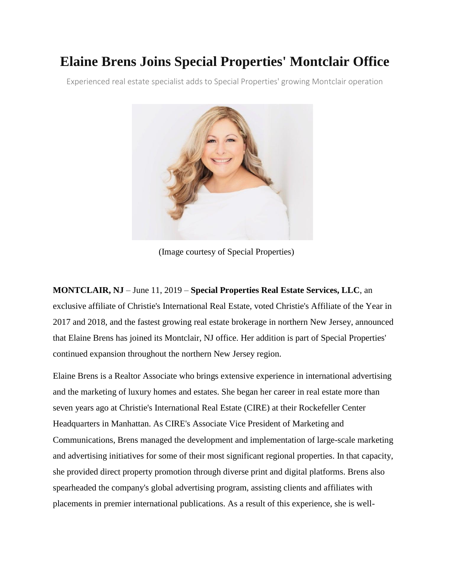## **Elaine Brens Joins Special Properties' Montclair Office**

Experienced real estate specialist adds to Special Properties' growing Montclair operation



(Image courtesy of Special Properties)

**MONTCLAIR, NJ** – June 11, 2019 – **Special Properties Real Estate Services, LLC**, an exclusive affiliate of Christie's International Real Estate, voted Christie's Affiliate of the Year in 2017 and 2018, and the fastest growing real estate brokerage in northern New Jersey, announced that Elaine Brens has joined its Montclair, NJ office. Her addition is part of Special Properties' continued expansion throughout the northern New Jersey region.

Elaine Brens is a Realtor Associate who brings extensive experience in international advertising and the marketing of luxury homes and estates. She began her career in real estate more than seven years ago at Christie's International Real Estate (CIRE) at their Rockefeller Center Headquarters in Manhattan. As CIRE's Associate Vice President of Marketing and Communications, Brens managed the development and implementation of large-scale marketing and advertising initiatives for some of their most significant regional properties. In that capacity, she provided direct property promotion through diverse print and digital platforms. Brens also spearheaded the company's global advertising program, assisting clients and affiliates with placements in premier international publications. As a result of this experience, she is well